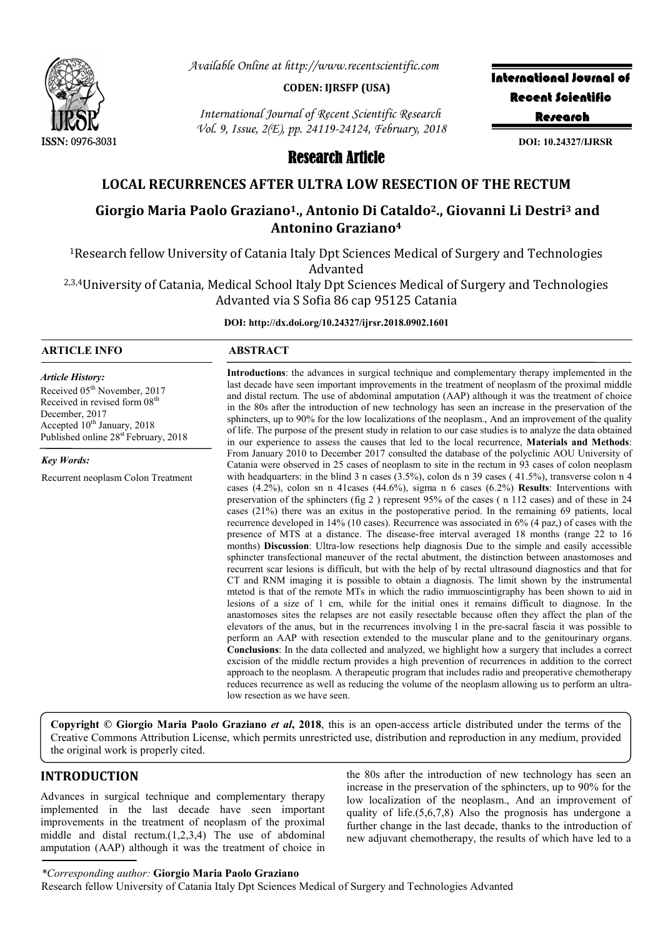

*Available Online at http://www.recentscientific.com*

#### **CODEN: IJRSFP (USA)**

*International Journal of Recent Scientific Research Vol. 9, Issue, 2(E), pp. 24119-24124, February, 2018* International Journal of Recent Scientific **Research** 

**DOI: 10.24327/IJRSR**

# Research Article

# **LOCAL RECURRENCES AFTER ULTRA LOW RESECTION OF THE RECTUM**

# **Giorgio Maria Paolo Graziano1., Antonio Di Cataldo2., Giovanni Li Destri3 and Antonino Graziano4**

1Research fellow University of Catania Italy Dpt Sciences Medical of Surgery and Technologies Advanted

<sup>2,3,4</sup>University of Catania, Medical School Italy Dpt Sciences Medical of Surgery and Technologies Advanted via S Sofia 86 cap 95125 Catania

**DOI: http://dx.doi.org/10.24327/ijrsr.2018.0902.1601**

## **ARTICLE INFO ABSTRACT**

Received 05<sup>th</sup> November, 2017 Received in revised form 08<sup>th</sup>

Accepted  $10^{th}$  January, 2018 Published online 28<sup>st</sup> February, 2018

Recurrent neoplasm Colon Treatment

*Article History:*

December, 2017

*Key Words:*

**Introductions**: the advances in surgical technique and complementary therapy implemented in the last decade have seen important improvements in the treatment of neoplasm of the proximal middle and distal rectum. The use of abdominal amputation (AAP) although it was the treatment of choice in the 80s after the introduction of new technology has seen an increase in the preservation of the sphincters, up to 90% for the low localizations of the neoplasm., And an improvement of the quality of life. The purpose of the present study in relation to our case studies is to analyze the data obtained in our experience to assess the causes that led to the local recurrence, **Materials and Methods**: From January 2010 to December 2017 consulted the database of the polyclinic AOU University of Catania were observed in 25 cases of neoplasm to site in the rectum in 93 cases of colon neoplasm with headquarters: in the blind 3 n cases (3.5%), colon ds n 39 cases (41.5%), transverse colon n 4 cases (4.2%), colon sn n 41cases (44.6%), sigma n 6 cases (6.2%) **Results**: Interventions with preservation of the sphincters (fig 2 ) represent 95% of the cases ( n 112 cases) and of these in 24 cases (21%) there was an exitus in the postoperative period. In the remaining 69 patients, local recurrence developed in 14% (10 cases). Recurrence was associated in 6% (4 paz,) of cases with the presence of MTS at a distance. The disease-free interval averaged 18 months (range 22 to 16 months) **Discussion**: Ultra-low resections help diagnosis Due to the simple and easily accessible sphincter transfectional maneuver of the rectal abutment, the distinction between anastomoses and recurrent scar lesions is difficult, but with the help of by rectal ultrasound diagnostics and that for CT and RNM imaging it is possible to obtain a diagnosis. The limit shown by the instrumental mtetod is that of the remote MTs in which the radio immuoscintigraphy has been shown to aid in lesions of a size of 1 cm, while for the initial ones it remains difficult to diagnose. In the anastomoses sites the relapses are not easily resectable because often they affect the plan of the elevators of the anus, but in the recurrences involving l in the pre-sacral fascia it was possible to perform an AAP with resection extended to the muscular plane and to the genitourinary organs. **Conclusions**: In the data collected and analyzed, we highlight how a surgery that includes a correct excision of the middle rectum provides a high prevention of recurrences in addition to the correct approach to the neoplasm. A therapeutic program that includes radio and preoperative chemotherapy reduces recurrence as well as reducing the volume of the neoplasm allowing us to perform an ultralow resection as we have seen.

**Copyright © Giorgio Maria Paolo Graziano** *et al***, 2018**, this is an open-access article distributed under the terms of the Creative Commons Attribution License, which permits unrestricted use, distribution and reproduction in any medium, provided the original work is properly cited.

# **INTRODUCTION**

Advances in surgical technique and complementary therapy implemented in the last decade have seen important improvements in the treatment of neoplasm of the proximal middle and distal rectum.(1,2,3,4) The use of abdominal amputation (AAP) although it was the treatment of choice in the 80s after the introduction of new technology has seen an increase in the preservation of the sphincters, up to 90% for the low localization of the neoplasm., And an improvement of quality of life.(5,6,7,8) Also the prognosis has undergone a further change in the last decade, thanks to the introduction of new adjuvant chemotherapy, the results of which have led to a

*\*Corresponding author:* **Giorgio Maria Paolo Graziano**

Research fellow University of Catania Italy Dpt Sciences Medical of Surgery and Technologies Advanted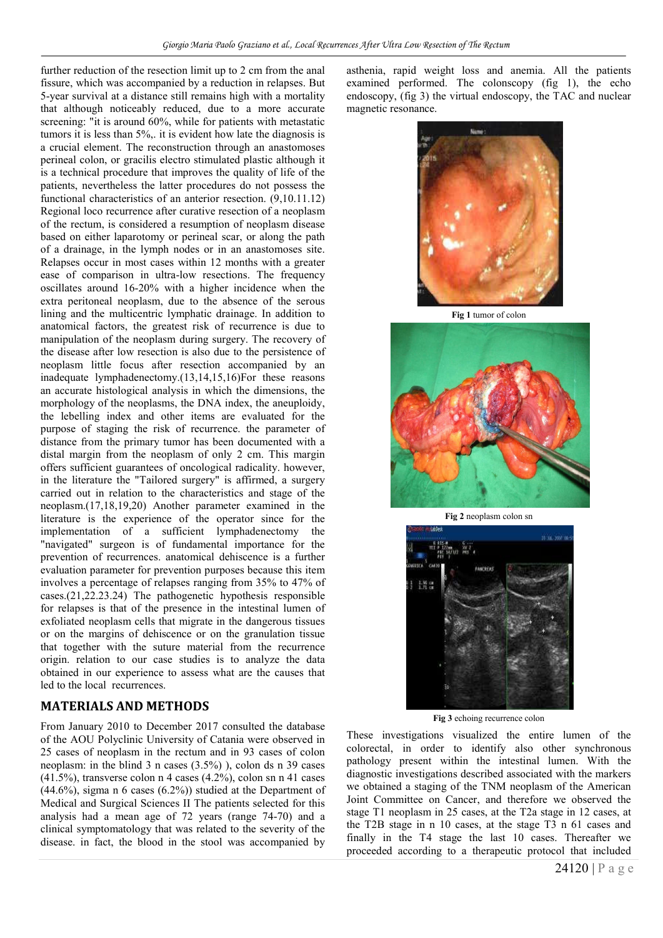further reduction of the resection limit up to 2 cm from the anal fissure, which was accompanied by a reduction in relapses. But 5-year survival at a distance still remains high with a mortality that although noticeably reduced, due to a more accurate screening: "it is around 60%, while for patients with metastatic tumors it is less than 5%,. it is evident how late the diagnosis is a crucial element. The reconstruction through an anastomoses perineal colon, or gracilis electro stimulated plastic although it is a technical procedure that improves the quality of life of the patients, nevertheless the latter procedures do not possess the functional characteristics of an anterior resection. (9,10.11.12) Regional loco recurrence after curative resection of a neoplasm of the rectum, is considered a resumption of neoplasm disease based on either laparotomy or perineal scar, or along the path of a drainage, in the lymph nodes or in an anastomoses site. Relapses occur in most cases within 12 months with a greater ease of comparison in ultra-low resections. The frequency oscillates around 16-20% with a higher incidence when the extra peritoneal neoplasm, due to the absence of the serous lining and the multicentric lymphatic drainage. In addition to anatomical factors, the greatest risk of recurrence is due to manipulation of the neoplasm during surgery. The recovery of the disease after low resection is also due to the persistence of neoplasm little focus after resection accompanied by an inadequate lymphadenectomy.(13,14,15,16)For these reasons an accurate histological analysis in which the dimensions, the morphology of the neoplasms, the DNA index, the aneuploidy, the lebelling index and other items are evaluated for the purpose of staging the risk of recurrence. the parameter of distance from the primary tumor has been documented with a distal margin from the neoplasm of only 2 cm. This margin offers sufficient guarantees of oncological radicality. however, in the literature the "Tailored surgery" is affirmed, a surgery carried out in relation to the characteristics and stage of the neoplasm.(17,18,19,20) Another parameter examined in the literature is the experience of the operator since for the implementation of a sufficient lymphadenectomy the "navigated" surgeon is of fundamental importance for the prevention of recurrences. anatomical dehiscence is a further evaluation parameter for prevention purposes because this item involves a percentage of relapses ranging from 35% to 47% of cases.(21,22.23.24) The pathogenetic hypothesis responsible for relapses is that of the presence in the intestinal lumen of exfoliated neoplasm cells that migrate in the dangerous tissues or on the margins of dehiscence or on the granulation tissue that together with the suture material from the recurrence origin. relation to our case studies is to analyze the data obtained in our experience to assess what are the causes that led to the local recurrences.

### **MATERIALS AND METHODS**

From January 2010 to December 2017 consulted the database of the AOU Polyclinic University of Catania were observed in 25 cases of neoplasm in the rectum and in 93 cases of colon neoplasm: in the blind 3 n cases (3.5%) ), colon ds n 39 cases  $(41.5\%)$ , transverse colon n 4 cases  $(4.2\%)$ , colon sn n 41 cases (44.6%), sigma n 6 cases (6.2%)) studied at the Department of Medical and Surgical Sciences II The patients selected for this analysis had a mean age of 72 years (range 74-70) and a clinical symptomatology that was related to the severity of the disease. in fact, the blood in the stool was accompanied by asthenia, rapid weight loss and anemia. All the patients examined performed. The colonscopy (fig 1), the echo endoscopy, (fig 3) the virtual endoscopy, the TAC and nuclear magnetic resonance.



**Fig 1** tumor of colon



**Fig 2** neoplasm colon sn



**Fig 3** echoing recurrence colon

These investigations visualized the entire lumen of the colorectal, in order to identify also other synchronous pathology present within the intestinal lumen. With the diagnostic investigations described associated with the markers we obtained a staging of the TNM neoplasm of the American Joint Committee on Cancer, and therefore we observed the stage T1 neoplasm in 25 cases, at the T2a stage in 12 cases, at the T2B stage in n 10 cases, at the stage T3 n 61 cases and finally in the T4 stage the last 10 cases. Thereafter we proceeded according to a therapeutic protocol that included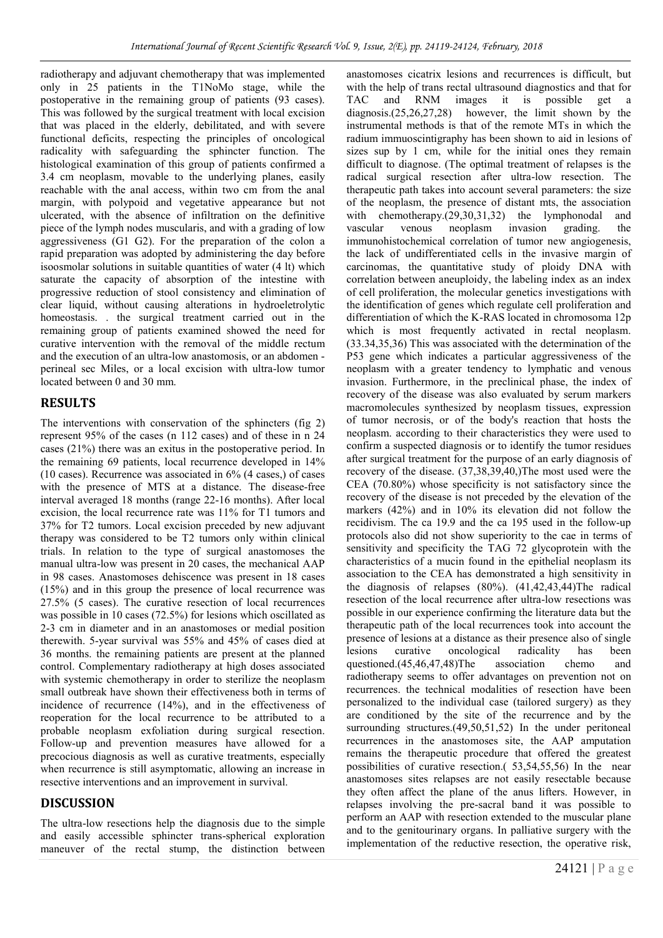radiotherapy and adjuvant chemotherapy that was implemented only in 25 patients in the T1NoMo stage, while the postoperative in the remaining group of patients (93 cases). This was followed by the surgical treatment with local excision that was placed in the elderly, debilitated, and with severe functional deficits, respecting the principles of oncological radicality with safeguarding the sphincter function. The histological examination of this group of patients confirmed a 3.4 cm neoplasm, movable to the underlying planes, easily reachable with the anal access, within two cm from the anal margin, with polypoid and vegetative appearance but not ulcerated, with the absence of infiltration on the definitive piece of the lymph nodes muscularis, and with a grading of low aggressiveness (G1 G2). For the preparation of the colon a rapid preparation was adopted by administering the day before isoosmolar solutions in suitable quantities of water (4 lt) which saturate the capacity of absorption of the intestine with progressive reduction of stool consistency and elimination of clear liquid, without causing alterations in hydroeletrolytic homeostasis. . the surgical treatment carried out in the remaining group of patients examined showed the need for curative intervention with the removal of the middle rectum and the execution of an ultra-low anastomosis, or an abdomen perineal sec Miles, or a local excision with ultra-low tumor located between 0 and 30 mm.

# **RESULTS**

The interventions with conservation of the sphincters (fig 2) represent 95% of the cases (n 112 cases) and of these in n 24 cases (21%) there was an exitus in the postoperative period. In the remaining 69 patients, local recurrence developed in 14% (10 cases). Recurrence was associated in 6% (4 cases,) of cases with the presence of MTS at a distance. The disease-free interval averaged 18 months (range 22-16 months). After local excision, the local recurrence rate was 11% for T1 tumors and 37% for T2 tumors. Local excision preceded by new adjuvant therapy was considered to be T2 tumors only within clinical trials. In relation to the type of surgical anastomoses the manual ultra-low was present in 20 cases, the mechanical AAP in 98 cases. Anastomoses dehiscence was present in 18 cases (15%) and in this group the presence of local recurrence was 27.5% (5 cases). The curative resection of local recurrences was possible in 10 cases (72.5%) for lesions which oscillated as 2-3 cm in diameter and in an anastomoses or medial position therewith. 5-year survival was 55% and 45% of cases died at 36 months. the remaining patients are present at the planned control. Complementary radiotherapy at high doses associated with systemic chemotherapy in order to sterilize the neoplasm small outbreak have shown their effectiveness both in terms of incidence of recurrence (14%), and in the effectiveness of reoperation for the local recurrence to be attributed to a probable neoplasm exfoliation during surgical resection. Follow-up and prevention measures have allowed for a precocious diagnosis as well as curative treatments, especially when recurrence is still asymptomatic, allowing an increase in resective interventions and an improvement in survival.

# **DISCUSSION**

The ultra-low resections help the diagnosis due to the simple and easily accessible sphincter trans-spherical exploration maneuver of the rectal stump, the distinction between anastomoses cicatrix lesions and recurrences is difficult, but with the help of trans rectal ultrasound diagnostics and that for TAC and RNM images it is possible get a diagnosis.(25,26,27,28) however, the limit shown by the instrumental methods is that of the remote MTs in which the radium immuoscintigraphy has been shown to aid in lesions of sizes sup by 1 cm, while for the initial ones they remain difficult to diagnose. (The optimal treatment of relapses is the radical surgical resection after ultra-low resection. The therapeutic path takes into account several parameters: the size of the neoplasm, the presence of distant mts, the association with chemotherapy.(29,30,31,32) the lymphonodal and vascular venous neoplasm invasion grading. the immunohistochemical correlation of tumor new angiogenesis, the lack of undifferentiated cells in the invasive margin of carcinomas, the quantitative study of ploidy DNA with correlation between aneuploidy, the labeling index as an index of cell proliferation, the molecular genetics investigations with the identification of genes which regulate cell proliferation and differentiation of which the K-RAS located in chromosoma 12p which is most frequently activated in rectal neoplasm. (33.34,35,36) This was associated with the determination of the P53 gene which indicates a particular aggressiveness of the neoplasm with a greater tendency to lymphatic and venous invasion. Furthermore, in the preclinical phase, the index of recovery of the disease was also evaluated by serum markers macromolecules synthesized by neoplasm tissues, expression of tumor necrosis, or of the body's reaction that hosts the neoplasm. according to their characteristics they were used to confirm a suspected diagnosis or to identify the tumor residues after surgical treatment for the purpose of an early diagnosis of recovery of the disease. (37,38,39,40,)The most used were the CEA (70.80%) whose specificity is not satisfactory since the recovery of the disease is not preceded by the elevation of the markers (42%) and in 10% its elevation did not follow the recidivism. The ca 19.9 and the ca 195 used in the follow-up protocols also did not show superiority to the cae in terms of sensitivity and specificity the TAG 72 glycoprotein with the characteristics of a mucin found in the epithelial neoplasm its association to the CEA has demonstrated a high sensitivity in the diagnosis of relapses (80%). (41,42,43,44)The radical resection of the local recurrence after ultra-low resections was possible in our experience confirming the literature data but the therapeutic path of the local recurrences took into account the presence of lesions at a distance as their presence also of single lesions curative oncological radicality has been<br>questioned.(45.46.47.48)The association chemo and questioned.(45,46,47,48)The association chemo and radiotherapy seems to offer advantages on prevention not on recurrences. the technical modalities of resection have been personalized to the individual case (tailored surgery) as they are conditioned by the site of the recurrence and by the surrounding structures.(49,50,51,52) In the under peritoneal recurrences in the anastomoses site, the AAP amputation remains the therapeutic procedure that offered the greatest possibilities of curative resection.( 53,54,55,56) In the near anastomoses sites relapses are not easily resectable because they often affect the plane of the anus lifters. However, in relapses involving the pre-sacral band it was possible to perform an AAP with resection extended to the muscular plane and to the genitourinary organs. In palliative surgery with the implementation of the reductive resection, the operative risk,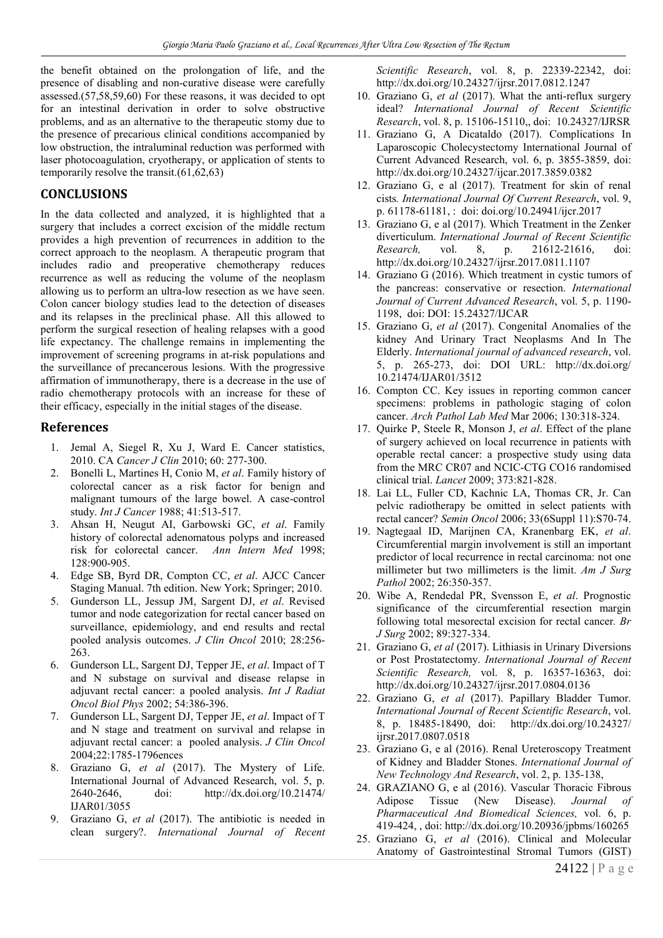the benefit obtained on the prolongation of life, and the presence of disabling and non-curative disease were carefully assessed.(57,58,59,60) For these reasons, it was decided to opt for an intestinal derivation in order to solve obstructive problems, and as an alternative to the therapeutic stomy due to the presence of precarious clinical conditions accompanied by low obstruction, the intraluminal reduction was performed with laser photocoagulation, cryotherapy, or application of stents to temporarily resolve the transit.(61,62,63)

# **CONCLUSIONS**

In the data collected and analyzed, it is highlighted that a surgery that includes a correct excision of the middle rectum provides a high prevention of recurrences in addition to the correct approach to the neoplasm. A therapeutic program that includes radio and preoperative chemotherapy reduces recurrence as well as reducing the volume of the neoplasm allowing us to perform an ultra-low resection as we have seen. Colon cancer biology studies lead to the detection of diseases and its relapses in the preclinical phase. All this allowed to perform the surgical resection of healing relapses with a good life expectancy. The challenge remains in implementing the improvement of screening programs in at-risk populations and the surveillance of precancerous lesions. With the progressive affirmation of immunotherapy, there is a decrease in the use of radio chemotherapy protocols with an increase for these of their efficacy, especially in the initial stages of the disease.

# **References**

- 1. Jemal A, Siegel R, Xu J, Ward E. Cancer statistics, 2010. CA *Cancer J Clin* 2010; 60: 277-300.
- 2. Bonelli L, Martines H, Conio M, *et al*. Family history of colorectal cancer as a risk factor for benign and malignant tumours of the large bowel. A case-control study. *Int J Cancer* 1988; 41:513-517.
- 3. Ahsan H, Neugut AI, Garbowski GC, *et al*. Family history of colorectal adenomatous polyps and increased risk for colorectal cancer. *Ann Intern Med* 1998; 128:900-905.
- 4. Edge SB, Byrd DR, Compton CC, *et al*. AJCC Cancer Staging Manual. 7th edition. New York; Springer; 2010.
- 5. Gunderson LL, Jessup JM, Sargent DJ, *et al*. Revised tumor and node categorization for rectal cancer based on surveillance, epidemiology, and end results and rectal pooled analysis outcomes. *J Clin Oncol* 2010; 28:256- 263.
- 6. Gunderson LL, Sargent DJ, Tepper JE, *et al*. Impact of T and N substage on survival and disease relapse in adjuvant rectal cancer: a pooled analysis. *Int J Radiat Oncol Biol Phys* 2002; 54:386-396.
- 7. Gunderson LL, Sargent DJ, Tepper JE, *et al*. Impact of T and N stage and treatment on survival and relapse in adjuvant rectal cancer: a pooled analysis. *J Clin Oncol* 2004;22:1785-1796ences
- 8. Graziano G, *et al* (2017). The Mystery of Life. International Journal of Advanced Research, vol. 5, p. 2640-2646, doi: http://dx.doi.org/10.21474/ IJAR01/3055
- 9. Graziano G, *et al* (2017). The antibiotic is needed in clean surgery?. *International Journal of Recent*

*Scientific Research*, vol. 8, p. 22339-22342, doi: http://dx.doi.org/10.24327/ijrsr.2017.0812.1247

- 10. Graziano G, *et al* (2017). What the anti-reflux surgery ideal? *International Journal of Recent Scientific Research*, vol. 8, p. 15106-15110,, doi: 10.24327/IJRSR
- 11. Graziano G, A Dicataldo (2017). Complications In Laparoscopic Cholecystectomy International Journal of Current Advanced Research, vol. 6, p. 3855-3859, doi: http://dx.doi.org/10.24327/ijcar.2017.3859.0382
- 12. Graziano G, e al (2017). Treatment for skin of renal cists*. International Journal Of Current Research*, vol. 9, p. 61178-61181, : doi: doi.org/10.24941/ijcr.2017
- 13. Graziano G, e al (2017). Which Treatment in the Zenker diverticulum. *International Journal of Recent Scientific Research,* vol. 8, p. 21612-21616, doi: http://dx.doi.org/10.24327/ijrsr.2017.0811.1107
- 14. Graziano G (2016). Which treatment in cystic tumors of the pancreas: conservative or resection. *International Journal of Current Advanced Research*, vol. 5, p. 1190- 1198, doi: DOI: 15.24327/IJCAR
- 15. Graziano G, *et al* (2017). Congenital Anomalies of the kidney And Urinary Tract Neoplasms And In The Elderly. *International journal of advanced research*, vol. 5, p. 265-273, doi: DOI URL: http://dx.doi.org/ 10.21474/IJAR01/3512
- 16. Compton CC. Key issues in reporting common cancer specimens: problems in pathologic staging of colon cancer. *Arch Pathol Lab Med* Mar 2006; 130:318-324.
- 17. Quirke P, Steele R, Monson J, *et al*. Effect of the plane of surgery achieved on local recurrence in patients with operable rectal cancer: a prospective study using data from the MRC CR07 and NCIC-CTG CO16 randomised clinical trial. *Lancet* 2009; 373:821-828.
- 18. Lai LL, Fuller CD, Kachnic LA, Thomas CR, Jr. Can pelvic radiotherapy be omitted in select patients with rectal cancer? *Semin Oncol* 2006; 33(6Suppl 11):S70-74.
- 19. Nagtegaal ID, Marijnen CA, Kranenbarg EK, *et al*. Circumferential margin involvement is still an important predictor of local recurrence in rectal carcinoma: not one millimeter but two millimeters is the limit. *Am J Surg Pathol* 2002; 26:350-357.
- 20. Wibe A, Rendedal PR, Svensson E, *et al*. Prognostic significance of the circumferential resection margin following total mesorectal excision for rectal cancer*. Br J Surg* 2002; 89:327-334.
- 21. Graziano G, *et al* (2017). Lithiasis in Urinary Diversions or Post Prostatectomy. *International Journal of Recent Scientific Research,* vol. 8, p. 16357-16363, doi: http://dx.doi.org/10.24327/ijrsr.2017.0804.0136
- 22. Graziano G, *et al* (2017). Papillary Bladder Tumor. *International Journal of Recent Scientific Research*, vol. 8, p. 18485-18490, doi: http://dx.doi.org/10.24327/ ijrsr.2017.0807.0518
- 23. Graziano G, e al (2016). Renal Ureteroscopy Treatment of Kidney and Bladder Stones. *International Journal of New Technology And Research*, vol. 2, p. 135-138,
- 24. GRAZIANO G, e al (2016). Vascular Thoracic Fibrous Adipose Tissue (New Disease). *Journal of Pharmaceutical And Biomedical Sciences,* vol. 6, p. 419-424, , doi: http://dx.doi.org/10.20936/jpbms/160265
- 25. Graziano G, *et al* (2016). Clinical and Molecular Anatomy of Gastrointestinal Stromal Tumors (GIST)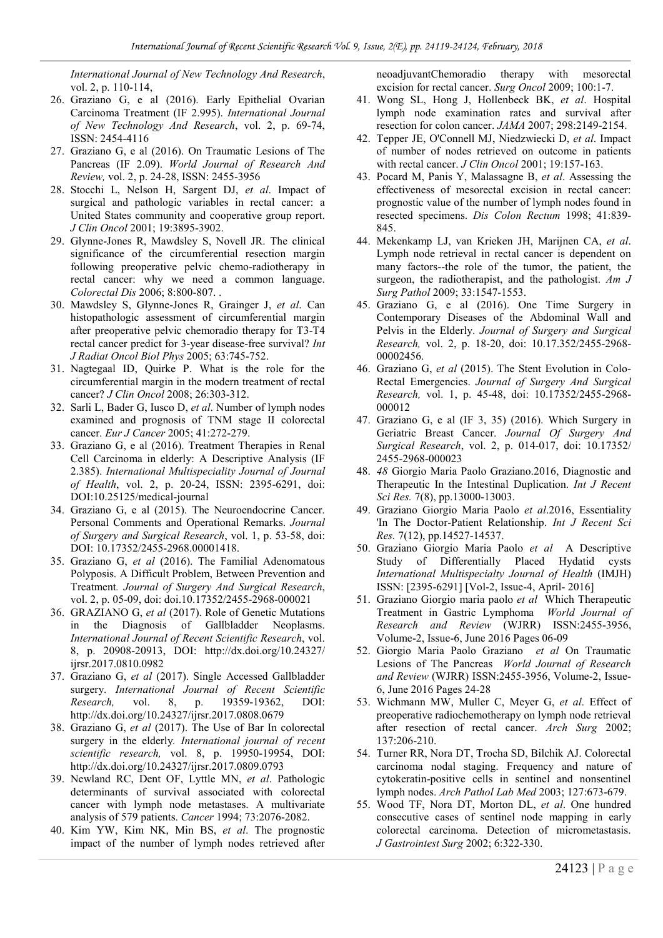*International Journal of New Technology And Research*, vol. 2, p. 110-114,

- 26. Graziano G, e al (2016). Early Epithelial Ovarian Carcinoma Treatment (IF 2.995). *International Journal of New Technology And Research*, vol. 2, p. 69-74, ISSN: 2454-4116
- 27. Graziano G, e al (2016). On Traumatic Lesions of The Pancreas (IF 2.09). *World Journal of Research And Review,* vol. 2, p. 24-28, ISSN: 2455-3956
- 28. Stocchi L, Nelson H, Sargent DJ, *et al*. Impact of surgical and pathologic variables in rectal cancer: a United States community and cooperative group report. *J Clin Oncol* 2001; 19:3895-3902.
- 29. Glynne-Jones R, Mawdsley S, Novell JR. The clinical significance of the circumferential resection margin following preoperative pelvic chemo-radiotherapy in rectal cancer: why we need a common language. *Colorectal Dis* 2006; 8:800-807. .
- 30. Mawdsley S, Glynne-Jones R, Grainger J, *et al*. Can histopathologic assessment of circumferential margin after preoperative pelvic chemoradio therapy for T3-T4 rectal cancer predict for 3-year disease-free survival? *Int J Radiat Oncol Biol Phys* 2005; 63:745-752.
- 31. Nagtegaal ID, Quirke P. What is the role for the circumferential margin in the modern treatment of rectal cancer? *J Clin Oncol* 2008; 26:303-312.
- 32. Sarli L, Bader G, Iusco D, *et al*. Number of lymph nodes examined and prognosis of TNM stage II colorectal cancer. *Eur J Cancer* 2005; 41:272-279.
- 33. Graziano G, e al (2016). Treatment Therapies in Renal Cell Carcinoma in elderly: A Descriptive Analysis (IF 2.385). *International Multispeciality Journal of Journal of Health*, vol. 2, p. 20-24, ISSN: 2395-6291, doi: DOI:10.25125/medical-journal
- 34. Graziano G, e al (2015). The Neuroendocrine Cancer. Personal Comments and Operational Remarks. *Journal of Surgery and Surgical Research*, vol. 1, p. 53-58, doi: DOI: 10.17352/2455-2968.00001418.
- 35. Graziano G, *et al* (2016). The Familial Adenomatous Polyposis. A Difficult Problem, Between Prevention and Treatment*. Journal of Surgery And Surgical Research*, vol. 2, p. 05-09, doi: doi.10.17352/2455-2968-000021
- 36. GRAZIANO G, *et al* (2017). Role of Genetic Mutations in the Diagnosis of Gallbladder Neoplasms. *International Journal of Recent Scientific Research*, vol. 8, p. 20908-20913, DOI: http://dx.doi.org/10.24327/ ijrsr.2017.0810.0982
- 37. Graziano G, *et al* (2017). Single Accessed Gallbladder surgery. *International Journal of Recent Scientific Research,* vol. 8, p. 19359-19362, DOI: http://dx.doi.org/10.24327/ijrsr.2017.0808.0679
- 38. Graziano G, *et al* (2017). The Use of Bar In colorectal surgery in the elderly*. International journal of recent scientific research,* vol. 8, p. 19950-19954, DOI: http://dx.doi.org/10.24327/ijrsr.2017.0809.0793
- 39. Newland RC, Dent OF, Lyttle MN, *et al*. Pathologic determinants of survival associated with colorectal cancer with lymph node metastases. A multivariate analysis of 579 patients. *Cancer* 1994; 73:2076-2082.
- 40. Kim YW, Kim NK, Min BS, *et al*. The prognostic impact of the number of lymph nodes retrieved after

neoadjuvantChemoradio therapy with mesorectal excision for rectal cancer. *Surg Oncol* 2009; 100:1-7.

- 41. Wong SL, Hong J, Hollenbeck BK, *et al*. Hospital lymph node examination rates and survival after resection for colon cancer. *JAMA* 2007; 298:2149-2154.
- 42. Tepper JE, O'Connell MJ, Niedzwiecki D, *et al*. Impact of number of nodes retrieved on outcome in patients with rectal cancer. *J Clin Oncol* 2001; 19:157-163.
- 43. Pocard M, Panis Y, Malassagne B, *et al*. Assessing the effectiveness of mesorectal excision in rectal cancer: prognostic value of the number of lymph nodes found in resected specimens. *Dis Colon Rectum* 1998; 41:839- 845.
- 44. Mekenkamp LJ, van Krieken JH, Marijnen CA, *et al*. Lymph node retrieval in rectal cancer is dependent on many factors--the role of the tumor, the patient, the surgeon, the radiotherapist, and the pathologist. *Am J Surg Pathol* 2009; 33:1547-1553.
- 45. Graziano G, e al (2016). One Time Surgery in Contemporary Diseases of the Abdominal Wall and Pelvis in the Elderly. *Journal of Surgery and Surgical Research,* vol. 2, p. 18-20, doi: 10.17.352/2455-2968- 00002456.
- 46. Graziano G, *et al* (2015). The Stent Evolution in Colo-Rectal Emergencies. *Journal of Surgery And Surgical Research,* vol. 1, p. 45-48, doi: 10.17352/2455-2968- 000012
- 47. Graziano G, e al (IF 3, 35) (2016). Which Surgery in Geriatric Breast Cancer. *Journal Of Surgery And Surgical Research*, vol. 2, p. 014-017, doi: 10.17352/ 2455-2968-000023
- 48. *48* Giorgio Maria Paolo Graziano.2016, Diagnostic and Therapeutic In the Intestinal Duplication. *Int J Recent Sci Res.* 7(8), pp.13000-13003.
- 49. Graziano Giorgio Maria Paolo *et al*.2016, Essentiality 'In The Doctor-Patient Relationship. *Int J Recent Sci Res.* 7(12), pp.14527-14537.
- 50. Graziano Giorgio Maria Paolo *et al* A Descriptive Study of Differentially Placed Hydatid cysts *International Multispecialty Journal of Health* (IMJH) ISSN: [2395-6291] [Vol-2, Issue-4, April- 2016]
- 51. Graziano Giorgio maria paolo *et al* Which Therapeutic Treatment in Gastric Lymphoma *World Journal of Research and Review* (WJRR) ISSN:2455-3956, Volume-2, Issue-6, June 2016 Pages 06-09
- 52. Giorgio Maria Paolo Graziano *et al* On Traumatic Lesions of The Pancreas *World Journal of Research and Review* (WJRR) ISSN:2455-3956, Volume-2, Issue-6, June 2016 Pages 24-28
- 53. Wichmann MW, Muller C, Meyer G, *et al*. Effect of preoperative radiochemotherapy on lymph node retrieval after resection of rectal cancer. *Arch Surg* 2002; 137:206-210.
- 54. Turner RR, Nora DT, Trocha SD, Bilchik AJ. Colorectal carcinoma nodal staging. Frequency and nature of cytokeratin-positive cells in sentinel and nonsentinel lymph nodes. *Arch Pathol Lab Med* 2003; 127:673-679.
- 55. Wood TF, Nora DT, Morton DL, *et al*. One hundred consecutive cases of sentinel node mapping in early colorectal carcinoma. Detection of micrometastasis. *J Gastrointest Surg* 2002; 6:322-330.